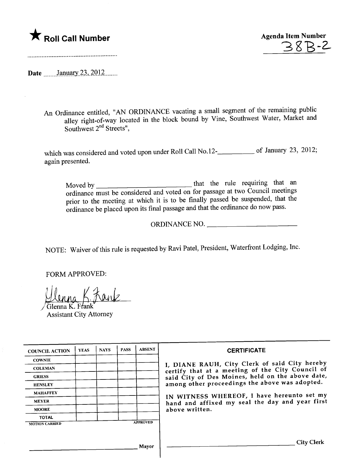## \* Roll Call Number Agenda Item Number



Date  $\frac{\text{January } 23, 2012 \dots}{\text{January } 23, 2012 \dots}$ 

.\_\_...-----\_.................................................................

An Ordinance entitled, "AN ORDINANCE vacating a small segment of the remaining public alley right-of-way located in the block bound by Vine, Southwest Water, Market and Southwest 2<sup>nd</sup> Streets",

which was considered and voted upon under Roll Call No.12- $\frac{1}{2}$  of January 23, 2012; again presented.

Moved by that the rule requiring that an ordinance must be considered and voted on for passage at two Council meetings prior to the meeting at which it is to be finally passed be suspended, that the ordinance be placed upon its final passage and that the ordinance do now pass.

ORDINANCE NO.

NOTE: Waiver of this rule is requested by Ravi Patel, President, Waterfront Lodging, Inc.

FORM APPROVED:

Jlenna K. Frank

Assistant City Attorney

| <b>COUNCIL ACTION</b> | <b>YEAS</b> | <b>NAYS</b> | <b>PASS</b> | <b>ABSENT</b>   | <b>CERTIFICATE</b>                                                                                                                                                                                                                                                                                                         |
|-----------------------|-------------|-------------|-------------|-----------------|----------------------------------------------------------------------------------------------------------------------------------------------------------------------------------------------------------------------------------------------------------------------------------------------------------------------------|
| <b>COWNIE</b>         |             |             |             |                 | I, DIANE RAUH, City Clerk of said City hereby<br>certify that at a meeting of the City Council of<br>said City of Des Moines, held on the above date,<br>among other proceedings the above was adopted.<br>IN WITNESS WHEREOF, I have hereunto set my<br>hand and affixed my seal the day and year first<br>above written. |
| <b>COLEMAN</b>        |             |             |             |                 |                                                                                                                                                                                                                                                                                                                            |
| <b>GRIESS</b>         |             |             |             |                 |                                                                                                                                                                                                                                                                                                                            |
| <b>HENSLEY</b>        |             |             |             |                 |                                                                                                                                                                                                                                                                                                                            |
| <b>MAHAFFEY</b>       |             |             |             |                 |                                                                                                                                                                                                                                                                                                                            |
| <b>MEYER</b>          |             |             |             |                 |                                                                                                                                                                                                                                                                                                                            |
| <b>MOORE</b>          |             |             |             |                 |                                                                                                                                                                                                                                                                                                                            |
| <b>TOTAL</b>          |             |             |             |                 |                                                                                                                                                                                                                                                                                                                            |
| <b>MOTION CARRIED</b> |             |             |             | <b>APPROVED</b> |                                                                                                                                                                                                                                                                                                                            |
|                       |             |             |             |                 |                                                                                                                                                                                                                                                                                                                            |
|                       |             |             |             | Mavor           | <b>City Clerk</b>                                                                                                                                                                                                                                                                                                          |